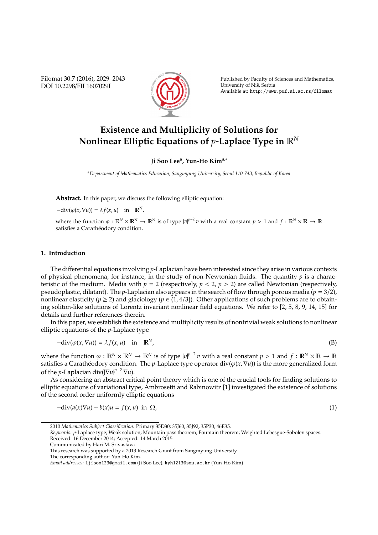Filomat 30:7 (2016), 2029–2043 DOI 10.2298/FIL1607029L



Published by Faculty of Sciences and Mathematics, University of Niš, Serbia Available at: http://www.pmf.ni.ac.rs/filomat

# **Existence and Multiplicity of Solutions for Nonlinear Elliptic Equations of** *p***-Laplace Type in** R*<sup>N</sup>*

# **Ji Soo Lee<sup>a</sup> , Yun-Ho Kima,**<sup>∗</sup>

*<sup>a</sup>Department of Mathematics Education, Sangmyung University, Seoul 110-743, Republic of Korea*

**Abstract.** In this paper, we discuss the following elliptic equation:

 $-\text{div}(\varphi(x,\nabla u)) = \lambda f(x,u)$  in  $\mathbb{R}^N$ ,

where the function  $\varphi : \mathbb{R}^N \times \mathbb{R}^N \to \mathbb{R}^N$  is of type  $|\varphi|^{p-2}v$  with a real constant  $p > 1$  and  $f : \mathbb{R}^N \times \mathbb{R} \to \mathbb{R}^N$ satisfies a Carathéodory condition.

## **1. Introduction**

The differential equations involving *p*-Laplacian have been interested since they arise in various contexts of physical phenomena, for instance, in the study of non-Newtonian fluids. The quantity  $p$  is a characteristic of the medium. Media with  $p = 2$  (respectively,  $p < 2$ ,  $p > 2$ ) are called Newtonian (respectively, pseudoplastic, dilatant). The *p*-Laplacian also appears in the search of flow through porous media (*p* = 3/2), nonlinear elasticity ( $p \ge 2$ ) and glaciology ( $p \in (1, 4/3]$ ). Other applications of such problems are to obtaining soliton-like solutions of Lorentz invariant nonlinear field equations. We refer to [2, 5, 8, 9, 14, 15] for details and further references therein.

In this paper, we establish the existence and multiplicity results of nontrivial weak solutions to nonlinear elliptic equations of the *p*-Laplace type

$$
-div(\varphi(x,\nabla u)) = \lambda f(x,u) \quad \text{in} \quad \mathbb{R}^N,
$$
 (B)

where the function  $\varphi : \mathbb{R}^N \times \mathbb{R}^N \to \mathbb{R}^N$  is of type  $|\varphi|^{p-2}v$  with a real constant  $p > 1$  and  $f : \mathbb{R}^N \times \mathbb{R} \to \mathbb{R}^N$ satisfies a Carathéodory condition. The *p*-Laplace type operator div( $\varphi(x, \nabla u)$ ) is the more generalized form of the *p*-Laplacian div( $|\nabla u|^{p-2} \nabla u$ ).

As considering an abstract critical point theory which is one of the crucial tools for finding solutions to elliptic equations of variational type, Ambrosetti and Rabinowitz [1] investigated the existence of solutions of the second order uniformly elliptic equations

$$
-div(a(x)\nabla u) + b(x)u = f(x, u) \text{ in } \Omega,
$$
\n(1)

$$
(1)
$$

*Keywords*. *p*-Laplace type; Weak solution; Mountain pass theorem; Fountain theorem; Weighted Lebesgue-Sobolev spaces. Received: 16 December 2014; Accepted: 14 March 2015

Communicated by Hari M. Srivastava

<sup>2010</sup> *Mathematics Subject Classification*. Primary 35D30; 35J60, 35J92, 35P30, 46E35.

This research was supported by a 2013 Research Grant from Sangmyung University.

The corresponding author: Yun-Ho Kim.

*Email addresses:* ljisoo123@gmail.com (Ji Soo Lee), kyh1213@smu.ac.kr (Yun-Ho Kim)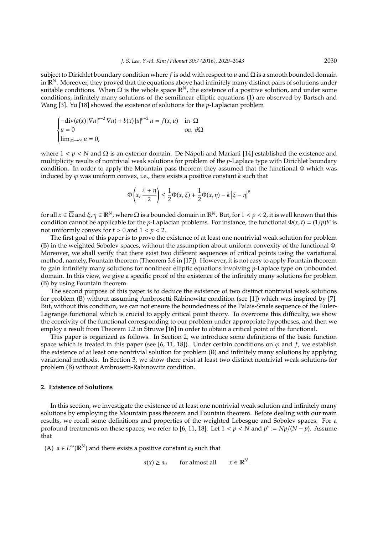subject to Dirichlet boundary condition where *f* is odd with respect to *u* and Ω is a smooth bounded domain in  $\mathbb{R}^N$ . Moreover, they proved that the equations above had infinitely many distinct pairs of solutions under suitable conditions. When  $Ω$  is the whole space  $\mathbb{R}^N$ , the existence of a positive solution, and under some conditions, infinitely many solutions of the semilinear elliptic equations (1) are observed by Bartsch and Wang [3]. Yu [18] showed the existence of solutions for the *p*-Laplacian problem

$$
\begin{cases}\n-\text{div}(a(x)|\nabla u|^{p-2}\nabla u) + b(x)|u|^{p-2}u = f(x,u) & \text{in } \Omega \\
u = 0 & \text{on } \partial\Omega \\
\lim_{|x| \to \infty} u = 0,\n\end{cases}
$$

where  $1 < p < N$  and  $\Omega$  is an exterior domain. De Nápoli and Mariani [14] established the existence and multiplicity results of nontrivial weak solutions for problem of the *p*-Laplace type with Dirichlet boundary condition. In order to apply the Mountain pass theorem they assumed that the functional Φ which was induced by  $\varphi$  was uniform convex, i.e., there exists a positive constant  $k$  such that

$$
\Phi\left(x, \frac{\xi + \eta}{2}\right) \le \frac{1}{2}\Phi(x, \xi) + \frac{1}{2}\Phi(x, \eta) - k\left|\xi - \eta\right|^p
$$

for all  $x \in \overline{\Omega}$  and  $\xi, \eta \in \mathbb{R}^N$ , where  $\Omega$  is a bounded domain in  $\mathbb{R}^N$ . But, for  $1 < p < 2$ , it is well known that this condition cannot be applicable for the *p*-Laplacian problems. For instance, the functional  $\Phi(x, t) = (1/p)t^p$  is not uniformly convex for  $t > 0$  and  $1 < p < 2$ .

The first goal of this paper is to prove the existence of at least one nontrivial weak solution for problem (B) in the weighted Sobolev spaces, without the assumption about uniform convexity of the functional Φ. Moreover, we shall verify that there exist two different sequences of critical points using the variational method, namely, Fountain theorem (Theorem 3.6 in [17]). However, it is not easy to apply Fountain theorem to gain infinitely many solutions for nonlinear elliptic equations involving *p*-Laplace type on unbounded domain. In this view, we give a specific proof of the existence of the infinitely many solutions for problem (B) by using Fountain theorem.

The second purpose of this paper is to deduce the existence of two distinct nontrivial weak solutions for problem (B) without assuming Ambrosetti-Rabinowitz condition (see [1]) which was inspired by [7]. But, without this condition, we can not ensure the boundedness of the Palais-Smale sequence of the Euler-Lagrange functional which is crucial to apply critical point theory. To overcome this difficulty, we show the coercivity of the functional corresponding to our problem under appropriate hypotheses, and then we employ a result from Theorem 1.2 in Struwe [16] in order to obtain a critical point of the functional.

This paper is organized as follows. In Section 2, we introduce some definitions of the basic function space which is treated in this paper (see [6, 11, 18]). Under certain conditions on  $\varphi$  and  $f$ , we establish the existence of at least one nontrivial solution for problem (B) and infinitely many solutions by applying variational methods. In Section 3, we show there exist at least two distinct nontrivial weak solutions for problem (B) without Ambrosetti-Rabinowitz condition.

#### **2. Existence of Solutions**

In this section, we investigate the existence of at least one nontrivial weak solution and infinitely many solutions by employing the Mountain pass theorem and Fountain theorem. Before dealing with our main results, we recall some definitions and properties of the weighted Lebesgue and Sobolev spaces. For a profound treatments on these spaces, we refer to [6, 11, 18]. Let  $1 < p < N$  and  $p^* := Np/(N-p)$ . Assume that

(A)  $a \in L^{\infty}(\mathbb{R}^N)$  and there exists a positive constant  $a_0$  such that

 $a(x) \ge a_0$  for almost all *N* .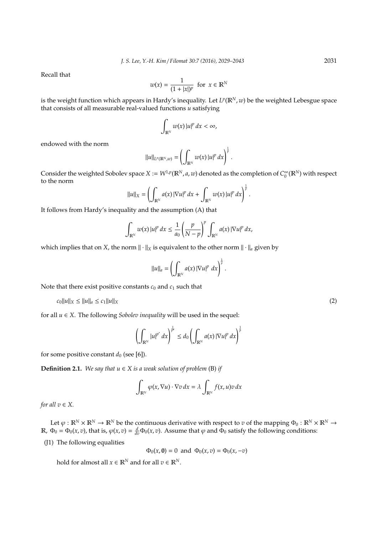Recall that

$$
w(x) = \frac{1}{(1+|x|)^p} \text{ for } x \in \mathbb{R}^N
$$

is the weight function which appears in Hardy's inequality. Let  $L^p(\mathbb{R}^N,w)$  be the weighted Lebesgue space that consists of all measurable real-valued functions *u* satisfying

$$
\int_{\mathbb{R}^N} w(x) \left| u \right|^p dx < \infty,
$$

endowed with the norm

$$
||u||_{L^p(\mathbb{R}^N,w)} = \left(\int_{\mathbb{R}^N} w(x) |u|^p dx\right)^{\frac{1}{p}}.
$$

Consider the weighted Sobolev space  $X := W^{1,p}(\mathbb{R}^N, a, w)$  denoted as the completion of  $C_0^{\infty}$  $\int_0^\infty (\mathbb{R}^N)$  with respect to the norm

$$
||u||_X = \left(\int_{\mathbb{R}^N} a(x) |\nabla u|^p dx + \int_{\mathbb{R}^N} w(x) |u|^p dx\right)^{\frac{1}{p}}.
$$

It follows from Hardy's inequality and the assumption (A) that

$$
\int_{\mathbb{R}^N} w(x) \left| u \right|^p dx \leq \frac{1}{a_0} \left( \frac{p}{N-p} \right)^p \int_{\mathbb{R}^N} a(x) \left| \nabla u \right|^p dx,
$$

which implies that on *X*, the norm  $\|\cdot\|_X$  is equivalent to the other norm  $\|\cdot\|_a$  given by

$$
\|u\|_a = \left(\int_{\mathbb{R}^N} a(x) \, |\nabla u|^p \, dx\right)^{\frac{1}{p}}.
$$

Note that there exist positive constants  $c_0$  and  $c_1$  such that

$$
c_0\|u\|_X \le \|u\|_a \le c_1\|u\|_X \tag{2}
$$

for all *u* ∈ *X*. The following *Sobolev inequality* will be used in the sequel:

$$
\left(\int_{\mathbb{R}^N}|u|^{p^*}\,dx\right)^{\frac{1}{p^*}}\leq d_0\left(\int_{\mathbb{R}^N}a(x)\,|\nabla u|^p\,dx\right)^{\frac{1}{p}}
$$

for some positive constant  $d_0$  (see [6]).

**Definition 2.1.** *We say that*  $u \in X$  *is a weak solution of problem* (B) *if* 

$$
\int_{\mathbb{R}^N} \varphi(x, \nabla u) \cdot \nabla v \, dx = \lambda \int_{\mathbb{R}^N} f(x, u) v \, dx
$$

*for all*  $v \in X$ *.* 

Let  $\varphi : \mathbb{R}^N \times \mathbb{R}^N \to \mathbb{R}^N$  be the continuous derivative with respect to *v* of the mapping  $\Phi_0 : \mathbb{R}^N \times \mathbb{R}^N \to$  $\mathbb{R}$ ,  $\Phi_0 = \Phi_0(x, v)$ , that is,  $\varphi(x, v) = \frac{d}{dv}\Phi_0(x, v)$ . Assume that  $\varphi$  and  $\Phi_0$  satisfy the following conditions:

(J1) The following equalities

$$
\Phi_0(x, \mathbf{0}) = 0
$$
 and  $\Phi_0(x, v) = \Phi_0(x, -v)$ 

hold for almost all  $x \in \mathbb{R}^N$  and for all  $v \in \mathbb{R}^N$ .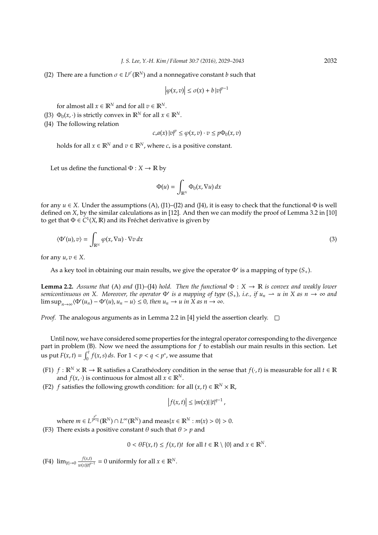(J2) There are a function  $\sigma \in L^{p'}(\mathbb{R}^N)$  and a nonnegative constant *b* such that

$$
\big|\varphi(x,v)\big|\leq \sigma(x)+b\,|v|^{p-1}
$$

for almost all  $x \in \mathbb{R}^N$  and for all  $v \in \mathbb{R}^N$ .

(J3)  $\Phi_0(x, \cdot)$  is strictly convex in  $\mathbb{R}^N$  for all  $x \in \mathbb{R}^N$ .

(J4) The following relation

$$
c_* a(x) |v|^p \leq \varphi(x,v) \cdot v \leq p \Phi_0(x,v)
$$

holds for all  $x \in \mathbb{R}^N$  and  $v \in \mathbb{R}^N$ , where  $c_*$  is a positive constant.

Let us define the functional  $\Phi: X \to \mathbb{R}$  by

$$
\Phi(u) = \int_{\mathbb{R}^N} \Phi_0(x, \nabla u) \, dx
$$

for any  $u \in X$ . Under the assumptions (A), (J1)–(J2) and (J4), it is easy to check that the functional  $\Phi$  is well defined on *X*, by the similar calculations as in [12]. And then we can modify the proof of Lemma 3.2 in [10] to get that  $\Phi \in C^1(X, \mathbb{R})$  and its Fréchet derivative is given by

$$
\langle \Phi'(u), v \rangle = \int_{\mathbb{R}^N} \varphi(x, \nabla u) \cdot \nabla v \, dx \tag{3}
$$

for any  $u, v \in X$ .

As a key tool in obtaining our main results, we give the operator  $\Phi'$  is a mapping of type  $(S_+)$ .

**Lemma 2.2.** *Assume that* (A) *and* (J1)–(J4) *hold.* Then the functional  $\Phi : X \to \mathbb{R}$  *is convex and weakly lower*  $s$ *emicontinuous on X.* Moreover, the operator  $\Phi'$  is a mapping of type  $(S_+)$ , i.e., if  $u_n \to u$  in X as  $n \to \infty$  and  $\limsup_{n\to\infty}\langle \Phi'(u_n) - \Phi'(u), u_n - u \rangle \leq 0$ , then  $u_n \to u$  in X as  $n \to \infty$ .

*Proof.* The analogous arguments as in Lemma 2.2 in [4] yield the assertion clearly.  $\square$ 

Until now, we have considered some properties for the integral operator corresponding to the divergence part in problem (B). Now we need the assumptions for *f* to establish our main results in this section. Let us put  $F(x, t) = \int_0^t f(x, s) ds$ . For  $1 < p < q < p^*$ , we assume that

- (F1)  $f : \mathbb{R}^N \times \mathbb{R} \to \mathbb{R}$  satisfies a Caratheodory condition in the sense that  $f(\cdot, t)$  is measurable for all  $t \in \mathbb{R}$ and  $f(x, \cdot)$  is continuous for almost all  $x \in \mathbb{R}^N$ .
- (F2) *f* satisfies the following growth condition: for all  $(x, t) \in \mathbb{R}^N \times \mathbb{R}$ ,

$$
\left|f(x,t)\right| \leq |m(x)|\,|t|^{q-1}\,,
$$

where  $m \in L^{\frac{p^*}{p^{*-}}}$ *p*<sup>*p*</sup>−*q*</sub> ( $\mathbb{R}^N$ ) ∩ *L*∞( $\mathbb{R}^N$ ) and meas{*x* ∈  $\mathbb{R}^N$  : *m*(*x*) > 0} > 0.

(F3) There exists a positive constant  $\theta$  such that  $\theta > p$  and

 $0 < \theta F(x, t) \le f(x, t)t$  for all  $t \in \mathbb{R} \setminus \{0\}$  and  $x \in \mathbb{R}^N$ .

 $(f4)$   $\lim_{|t| \to 0} \frac{f(x,t)}{f(x) |t|^{p}}$  $\frac{f(x,t)}{w(x)|t|^{p-1}}$  = 0 uniformly for all *x* ∈  $\mathbb{R}^N$ .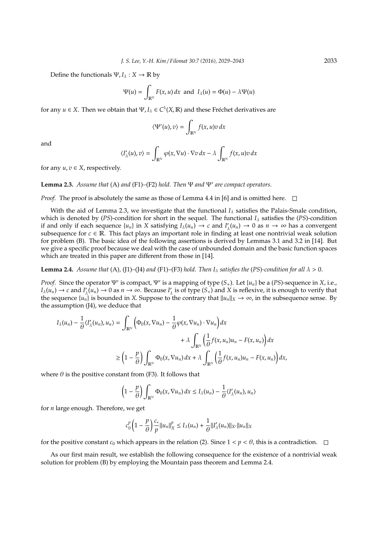Define the functionals  $\Psi$ ,  $I_\lambda : X \to \mathbb{R}$  by

$$
\Psi(u) = \int_{\mathbb{R}^N} F(x, u) dx \text{ and } I_{\lambda}(u) = \Phi(u) - \lambda \Psi(u)
$$

for any  $u \in X$ . Then we obtain that  $\Psi, I_{\lambda} \in C^{1}(X,\mathbb{R})$  and these Fréchet derivatives are

$$
\langle \Psi'(u), v \rangle = \int_{\mathbb{R}^N} f(x, u) v \, dx
$$

and

$$
\langle I'_{\lambda}(u),v\rangle=\int_{\mathbb{R}^N}\varphi(x,\nabla u)\cdot\nabla v\,dx-\lambda\int_{\mathbb{R}^N}f(x,u)v\,dx
$$

for any  $u, v \in X$ , respectively.

**Lemma 2.3.** *Assume that* (A) *and* (F1)–(F2) *hold. Then* Ψ *and* Ψ' *are compact operators.* 

*Proof.* The proof is absolutely the same as those of Lemma 4.4 in [6] and is omitted here.  $\square$ 

With the aid of Lemma 2.3, we investigate that the functional  $I_{\lambda}$  satisfies the Palais-Smale condition, which is denoted by (*PS*)-condition for short in the sequel. The functional *I*<sup>λ</sup> satisfies the (*PS*)-condition if and only if each sequence  $\{u_n\}$  in *X* satisfying  $I_\lambda(u_n) \to c$  and  $I'_\lambda$  $\chi'_\lambda(u_n) \to 0$  as  $n \to \infty$  has a convergent subsequence for  $c \in \mathbb{R}$ . This fact plays an important role in finding at least one nontrivial weak solution for problem (B). The basic idea of the following assertions is derived by Lemmas 3.1 and 3.2 in [14]. But we give a specific proof because we deal with the case of unbounded domain and the basic function spaces which are treated in this paper are different from those in [14].

**Lemma 2.4.** *Assume that* (A), (J1)–(J4) *and* (F1)–(F3) *hold. Then*  $I_\lambda$  *satisfies the* (PS)-condition for all  $\lambda > 0$ .

*Proof.* Since the operator  $\Psi'$  is compact,  $\Psi'$  is a mapping of type  $(S_+)$ . Let  $\{u_n\}$  be a  $(PS)$ -sequence in *X*, i.e.,  $I_\lambda(u_n) \to c$  and  $I'_\lambda$  $\chi^{\prime}(u_n) \rightarrow 0$  as  $n \rightarrow \infty$ . Because *I*<sup>2</sup>  $\frac{7}{\lambda}$  is of type  $(S_+)$  and  $X$  is reflexive, it is enough to verify that the sequence  $\{u_n\}$  is bounded in *X*. Suppose to the contrary that  $||u_n||_X \to \infty$ , in the subsequence sense. By the assumption (J4), we deduce that

$$
I_{\lambda}(u_{n}) - \frac{1}{\theta} \langle I'_{\lambda}(u_{n}), u_{n} \rangle = \int_{\mathbb{R}^{N}} \left( \Phi_{0}(x, \nabla u_{n}) - \frac{1}{\theta} \varphi(x, \nabla u_{n}) \cdot \nabla u_{n} \right) dx + \lambda \int_{\mathbb{R}^{N}} \left( \frac{1}{\theta} f(x, u_{n}) u_{n} - F(x, u_{n}) \right) dx \n\geq \left( 1 - \frac{p}{\theta} \right) \int_{\mathbb{R}^{N}} \Phi_{0}(x, \nabla u_{n}) dx + \lambda \int_{\mathbb{R}^{N}} \left( \frac{1}{\theta} f(x, u_{n}) u_{n} - F(x, u_{n}) \right) dx,
$$

where  $\theta$  is the positive constant from (F3). It follows that

$$
\left(1-\frac{p}{\theta}\right)\int_{\mathbb{R}^N}\Phi_0(x,\nabla u_n)\,dx\leq I_\lambda(u_n)-\frac{1}{\theta}\langle I'_\lambda(u_n),u_n\rangle
$$

for *n* large enough. Therefore, we get

$$
c_0^p\left(1-\frac{p}{\theta}\right)\frac{c_*}{p}||u_n||_X^p\leq I_\lambda(u_n)+\frac{1}{\theta}||I_\lambda'(u_n)||_{X^*}||u_n||_X
$$

for the positive constant  $c_0$  which appears in the relation (2). Since  $1 < p < \theta$ , this is a contradiction.  $\Box$ 

As our first main result, we establish the following consequence for the existence of a nontrivial weak solution for problem (B) by employing the Mountain pass theorem and Lemma 2.4.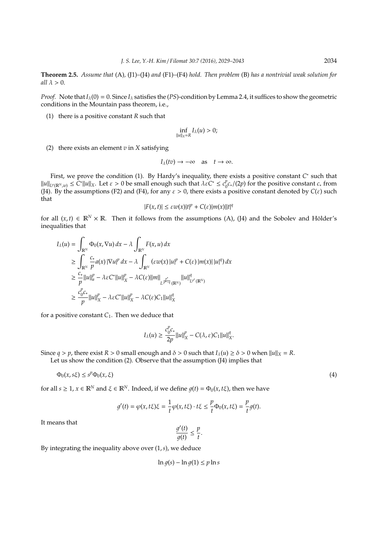**Theorem 2.5.** *Assume that* (A)*,* (J1)*–*(J4) *and* (F1)*–*(F4) *hold. Then problem* (B) *has a nontrivial weak solution for all*  $\lambda > 0$ .

*Proof.* Note that  $I_{\lambda}(0) = 0$ . Since  $I_{\lambda}$  satisfies the (*PS*)-condition by Lemma 2.4, it suffices to show the geometric conditions in the Mountain pass theorem, i.e.,

(1) there is a positive constant *R* such that

$$
\inf_{\|u\|_{X}=R}I_{\lambda}(u)>0;
$$

(2) there exists an element *v* in *X* satisfying

$$
I_{\lambda}(tv) \to -\infty \quad \text{as} \quad t \to \infty.
$$

First, we prove the condition (1). By Hardy's inequality, there exists a positive constant *C* ∗ such that  $||u||_{L^p(\mathbb{R}^N,w)} \leq C^* ||u||_X$ . Let  $\varepsilon > 0$  be small enough such that  $\lambda \varepsilon C^* \leq c_0^p$ 0 *c*∗/(2*p*) for the positive constant *c*<sup>∗</sup> from (J4). By the assumptions (F2) and (F4), for any  $\varepsilon > 0$ , there exists a positive constant denoted by  $C(\varepsilon)$  such that

$$
|F(x,t)| \leq \varepsilon w(x)|t|^p + C(\varepsilon)|m(x)||t|^q
$$

for all  $(x, t) \in \mathbb{R}^N \times \mathbb{R}$ . Then it follows from the assumptions (A), (J4) and the Sobolev and Hölder's inequalities that

$$
I_{\lambda}(u) = \int_{\mathbb{R}^{N}} \Phi_{0}(x, \nabla u) dx - \lambda \int_{\mathbb{R}^{N}} F(x, u) dx
$$
  
\n
$$
\geq \int_{\mathbb{R}^{N}} \frac{c_{*}}{p} a(x) |\nabla u|^{p} dx - \lambda \int_{\mathbb{R}^{N}} (\varepsilon w(x) |u|^{p} + C(\varepsilon) |m(x)| |u|^{q}) dx
$$
  
\n
$$
\geq \frac{c_{*}}{p} ||u||_{a}^{p} - \lambda \varepsilon C^{*} ||u||_{X}^{p} - \lambda C(\varepsilon) ||m||_{L^{\frac{p^{*}}{p-q}}(\mathbb{R}^{N})} ||u||_{L^{p^{*}}(\mathbb{R}^{N})}^{q}
$$
  
\n
$$
\geq \frac{c_{0}^{p} c_{*}}{p} ||u||_{X}^{p} - \lambda \varepsilon C^{*} ||u||_{X}^{p} - \lambda C(\varepsilon) C_{1} ||u||_{X}^{q}
$$

for a positive constant  $C_1$ . Then we deduce that

$$
I_{\lambda}(u) \ge \frac{c_0^p c_*}{2p} ||u||_X^p - C(\lambda, \varepsilon) C_1 ||u||_X^q.
$$

Since  $q > p$ , there exist  $R > 0$  small enough and  $\delta > 0$  such that  $I_\lambda(u) \ge \delta > 0$  when  $||u||_X = R$ .

Let us show the condition (2). Observe that the assumption (J4) implies that

$$
\Phi_0(x, s\xi) \le s^p \Phi_0(x, \xi) \tag{4}
$$

for all  $s \ge 1$ ,  $x \in \mathbb{R}^N$  and  $\xi \in \mathbb{R}^N$ . Indeed, if we define  $q(t) = \Phi_0(x, t\xi)$ , then we have

$$
g'(t) = \varphi(x, t\xi)\xi = \frac{1}{t}\varphi(x, t\xi) \cdot t\xi \leq \frac{p}{t}\Phi_0(x, t\xi) = \frac{p}{t}g(t).
$$

It means that

$$
\frac{g'(t)}{g(t)} \leq \frac{p}{t}.
$$

By integrating the inequality above over (1,*s*), we deduce

$$
\ln g(s) - \ln g(1) \le p \ln s
$$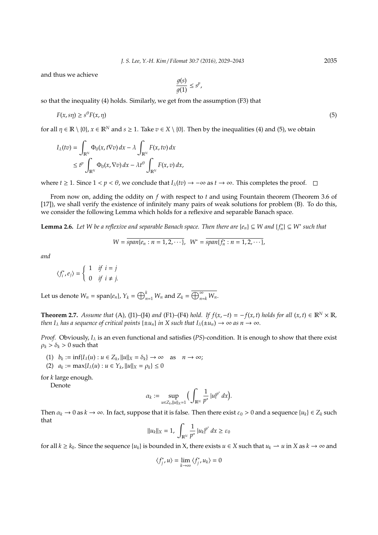and thus we achieve

$$
\frac{g(s)}{g(1)} \le s^p,
$$

so that the inequality (4) holds. Similarly, we get from the assumption (F3) that

$$
F(x, s\eta) \ge s^{\theta} F(x, \eta) \tag{5}
$$

for all  $\eta \in \mathbb{R} \setminus \{0\}$ ,  $x \in \mathbb{R}^N$  and  $s \ge 1$ . Take  $v \in X \setminus \{0\}$ . Then by the inequalities (4) and (5), we obtain

$$
I_{\lambda}(tv) = \int_{\mathbb{R}^N} \Phi_0(x, t\nabla v) dx - \lambda \int_{\mathbb{R}^N} F(x, tv) dx
$$
  
\$\leq t^p \int\_{\mathbb{R}^N} \Phi\_0(x, \nabla v) dx - \lambda t^{\theta} \int\_{\mathbb{R}^N} F(x, v) dx\$,

where *t* ≥ 1. Since  $1 < p < \theta$ , we conclude that  $I_\lambda(tv) \to -\infty$  as  $t \to \infty$ . This completes the proof.  $\Box$ 

From now on, adding the oddity on *f* with respect to *t* and using Fountain theorem (Theorem 3.6 of [17]), we shall verify the existence of infinitely many pairs of weak solutions for problem (B). To do this, we consider the following Lemma which holds for a reflexive and separable Banach space.

**Lemma 2.6.** Let W be a reflexive and separable Banach space. Then there are  $\{e_n\} \subseteq W$  and  $\{f_n^*\} \subseteq W^*$  such that

$$
W = \overline{span\{e_n : n = 1, 2, \cdots\}}, \ \ W^* = \overline{span\{f_n^* : n = 1, 2, \cdots\}},
$$

*and*

$$
\langle f_i^*, e_j \rangle = \begin{cases} 1 & \text{if } i = j \\ 0 & \text{if } i \neq j. \end{cases}
$$

Let us denote  $W_n = \text{span}\{e_n\}$ ,  $Y_k = \bigoplus_{n=1}^k W_n$  and  $Z_k = \overline{\bigoplus_{n=k}^{\infty} W_n}$ .

**Theorem 2.7.** Assume that (A), (J1)–(J4) and (F1)–(F4) hold. If  $f(x, -t) = -f(x, t)$  holds for all  $(x, t) \in \mathbb{R}^N \times \mathbb{R}$ , *then*  $I_{\lambda}$  *has a sequence of critical points*  $\{\pm u_n\}$  *in* X such that  $I_{\lambda}(\pm u_n) \to \infty$  *as*  $n \to \infty$ *.* 

*Proof.* Obviously,  $I_\lambda$  is an even functional and satisfies (*PS*)-condition. It is enough to show that there exist  $\rho_k > \delta_k > 0$  such that

$$
(1) \quad b_k := \inf\{I_\lambda(u) : u \in Z_k, ||u||_X = \delta_k\} \to \infty \quad \text{as} \quad n \to \infty;
$$

(2)  $a_k := \max\{I_\lambda(u) : u \in Y_k, ||u||_X = \rho_k\} \le 0$ 

for *k* large enough.

Denote

$$
\alpha_k := \sup_{u \in Z_k, \Vert u \Vert_{X} = 1} \Big( \int_{\mathbb{R}^N} \frac{1}{p^*} \vert u \vert^{p^*} \, dx \Big).
$$

Then  $\alpha_k \to 0$  as  $k \to \infty$ . In fact, suppose that it is false. Then there exist  $\varepsilon_0 > 0$  and a sequence  $\{u_k\} \in Z_k$  such that

$$
||u_k||_X = 1, \int_{\mathbb{R}^N} \frac{1}{p^*} |u_k|^{p^*} dx \ge \varepsilon_0
$$

for all  $k \geq k_0$ . Since the sequence  $\{u_k\}$  is bounded in X, there exists  $u \in X$  such that  $u_k \to u$  in  $X$  as  $k \to \infty$  and

$$
\langle f_j^*,u\rangle=\lim_{k\to\infty}\langle f_j^*,u_k\rangle=0
$$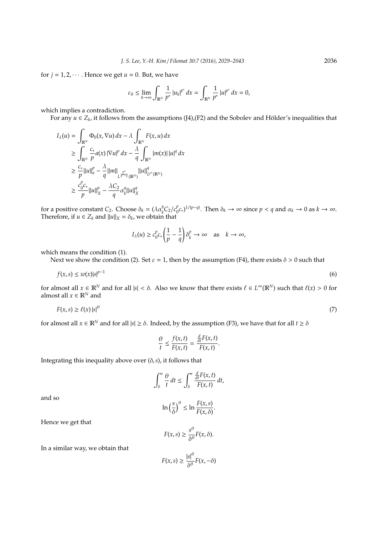for  $j = 1, 2, \dots$ . Hence we get  $u = 0$ . But, we have

$$
\varepsilon_0 \leq \lim_{k \to \infty} \int_{\mathbb{R}^N} \frac{1}{p^*} \left| u_k \right|^{p^*} dx = \int_{\mathbb{R}^N} \frac{1}{p^*} \left| u \right|^{p^*} dx = 0,
$$

which implies a contradiction.

For any  $u \in Z_k$ , it follows from the assumptions (J4),(F2) and the Sobolev and Hölder's inequalities that

$$
I_{\lambda}(u) = \int_{\mathbb{R}^{N}} \Phi_{0}(x, \nabla u) dx - \lambda \int_{\mathbb{R}^{N}} F(x, u) dx
$$
  
\n
$$
\geq \int_{\mathbb{R}^{N}} \frac{c_{*}}{p} a(x) |\nabla u|^{p} dx - \frac{\lambda}{q} \int_{\mathbb{R}^{N}} |m(x)| |u|^{q} dx
$$
  
\n
$$
\geq \frac{c_{*}}{p} ||u||_{a}^{p} - \frac{\lambda}{q} ||m||_{L^{\frac{p^{*}}{p^{*}-q}}(\mathbb{R}^{N})} ||u||_{L^{p^{*}}(\mathbb{R}^{N})}^{q}
$$
  
\n
$$
\geq \frac{c_{0}^{p} c_{*}}{p} ||u||_{X}^{p} - \frac{\lambda C_{2}}{q} \alpha_{k}^{q} ||u||_{X}^{q}
$$

for a positive constant *C*<sub>2</sub>. Choose  $\delta_k = (\lambda \alpha_k^q C_2 / c_0^p)$  $\int_{0}^{p} c_{*}^{p}$ )<sup>1/(*p*−*q*). Then  $\delta_{k} \to \infty$  since  $p < q$  and  $\alpha_{k} \to 0$  as  $k \to \infty$ .</sup> Therefore, if  $u \in Z_k$  and  $||u||_X = \delta_k$ , we obtain that

$$
I_{\lambda}(u) \ge c_0^p c_* \left(\frac{1}{p} - \frac{1}{q}\right) \delta_k^p \to \infty \text{ as } k \to \infty,
$$

which means the condition (1).

Next we show the condition (2). Set  $\varepsilon = 1$ , then by the assumption (F4), there exists  $\delta > 0$  such that

$$
f(x,s) \le w(x)|s|^{p-1} \tag{6}
$$

for almost all  $x \in \mathbb{R}^N$  and for all  $|s| < \delta$ . Also we know that there exists  $\ell \in L^\infty(\mathbb{R}^N)$  such that  $\ell(x) > 0$  for almost all  $x \in \mathbb{R}^N$  and

$$
F(x,s) \ge \ell(x) \left| s \right|^\theta \tag{7}
$$

for almost all  $x \in \mathbb{R}^N$  and for all  $|s| \ge \delta$ . Indeed, by the assumption (F3), we have that for all  $t \ge \delta$ 

$$
\frac{\theta}{t} \le \frac{f(x,t)}{F(x,t)} = \frac{\frac{d}{dt}F(x,t)}{F(x,t)}.
$$

Integrating this inequality above over (δ,*s*), it follows that

$$
\int_{\delta}^{s} \frac{\theta}{t} dt \leq \int_{\delta}^{s} \frac{\frac{d}{dt} F(x,t)}{F(x,t)} dt,
$$

and so

$$
\ln\left(\frac{s}{\delta}\right)^{\theta} \leq \ln \frac{F(x,s)}{F(x,\delta)}.
$$

Hence we get that

$$
F(x,s) \geq \frac{s^{\theta}}{\delta^{\theta}} F(x,\delta).
$$

In a similar way, we obtain that

$$
F(x,s) \ge \frac{|s|^{\theta}}{\delta^{\theta}} F(x,-\delta)
$$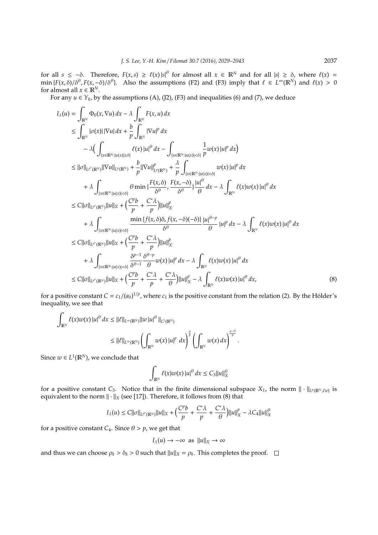for all  $s \leq -\delta$ . Therefore,  $F(x, s) \geq \ell(x) |s|^\theta$  for almost all  $x \in \mathbb{R}^N$  and for all  $|s| \geq \delta$ , where  $\ell(x) =$ min  $\{F(x,\delta)/\delta^\theta, F(x,-\delta)/\delta^\theta\}$ . Also the assumptions (F2) and (F3) imply that  $\ell \in L^\infty(\mathbb{R}^N)$  and  $\ell(x) > 0$ for almost all  $x \in \mathbb{R}^N$ .

For any  $u \in Y_k$ , by the assumptions (A), (J2), (F3) and inequalities (6) and (7), we deduce

$$
I_{\lambda}(u) = \int_{\mathbb{R}^{N}} \Phi_{0}(x, \nabla u) dx - \lambda \int_{\mathbb{R}^{N}} F(x, u) dx
$$
  
\n
$$
\leq \int_{\mathbb{R}^{N}} |\sigma(x)| |\nabla u| dx + \frac{b}{p} \int_{\mathbb{R}^{N}} |\nabla u|^{p} dx
$$
  
\n
$$
- \lambda \Big( \int_{\{x \in \mathbb{R}^{N} : |u(x)| \geq \delta\}} \ell(x) |u|^{q} dx - \int_{\{x \in \mathbb{R}^{N} : |u(x)| < \delta\}} \frac{1}{p} w(x) |u|^{p} dx \Big)
$$
  
\n
$$
\leq ||\sigma||_{L^{p'}(\mathbb{R}^{N})} ||\nabla u||_{L^{p}(\mathbb{R}^{N})} + \frac{b}{p} ||\nabla u||_{L^{p}(\mathbb{R}^{N})}^{p} + \frac{\lambda}{p} \int_{\{x \in \mathbb{R}^{N} : |u(x)| < \delta\}} w(x) |u|^{p} dx
$$
  
\n
$$
+ \lambda \int_{\{x \in \mathbb{R}^{N} : |u(x)| < \delta\}} \theta \min \{ \frac{F(x, \delta)}{\delta^{\theta}}, \frac{F(x, -\delta)}{\delta^{\theta}} \} \frac{|u|^{\theta}}{\theta} dx - \lambda \int_{\mathbb{R}^{N}} \ell(x) w(x) |u|^{\theta} dx
$$
  
\n
$$
\leq C ||\sigma||_{L^{p'}(\mathbb{R}^{N})} ||u||_{X} + \Big( \frac{C^{p}b}{p} + \frac{C^{*}\lambda}{p} \Big) ||u||_{X}^{p}
$$
  
\n
$$
+ \lambda \int_{\{x \in \mathbb{R}^{N} : |u(x)| < \delta\}} \frac{\min \{f(x, \delta)\delta, f(x, -\delta)(-\delta)\}}{\delta^{\theta}} \frac{|u|^{\theta-p}}{\theta} |u|^{p} dx - \lambda \int_{\mathbb{R}^{N}} \ell(x) w(x) |u|^{\theta} dx
$$
  
\n
$$
\leq C ||\sigma||_{L^{p'}(\mathbb{R}^{N})} ||u||_{X} + \Big( \frac{S^{p-1}}{p} + \frac{C^{*}\lambda}{p} \Big
$$

for a positive constant  $C = c_1/(a_0)^{1/p}$ , where  $c_1$  is the positive constant from the relation (2). By the Hölder's inequality, we see that

$$
\int_{\mathbb{R}^N} \ell(x)w(x) |u|^{\theta} dx \leq ||\ell||_{L^{\infty}(\mathbb{R}^N)} ||w|u|^{\theta} ||_{L^1(\mathbb{R}^N)}
$$
  

$$
\leq ||\ell||_{L^{\infty}(\mathbb{R}^N)} \left( \int_{\mathbb{R}^N} w(x) |u|^p dx \right)^{\frac{\theta}{p}} \left( \int_{\mathbb{R}^N} w(x) dx \right)^{\frac{p-\theta}{p}}
$$

Since  $w \in L^1(\mathbb{R}^N)$ , we conclude that

$$
\int_{\mathbb{R}^N} \ell(x)w(x) \left| u \right|^{\theta} dx \leq C_3 \left\| u \right\|_{X}^{\theta}
$$

.

for a positive constant *C*<sub>3</sub>. Notice that in the finite dimensional subspace  $X_1$ , the norm  $\|\cdot\|_{L^p(\mathbb{R}^N,\ell w)}$  is equivalent to the norm  $\|\cdot\|_X$  (see [17]). Therefore, it follows from (8) that

$$
I_\lambda(u)\leq C||\sigma||_{L^{p'}(\mathbb{R}^N)}||u||_X+\Big(\frac{C^pb}{p}+\frac{C^*\lambda}{p}+\frac{C^*\lambda}{\theta}\Big)||u||_X^p-\lambda C_4||u||_X^\theta
$$

for a positive constant  $C_4$ . Since  $\theta > p$ , we get that

$$
I_{\lambda}(u) \rightarrow -\infty \text{ as } ||u||_{X} \rightarrow \infty
$$

and thus we can choose  $\rho_k > \delta_k > 0$  such that  $||u||_X = \rho_k$ . This completes the proof.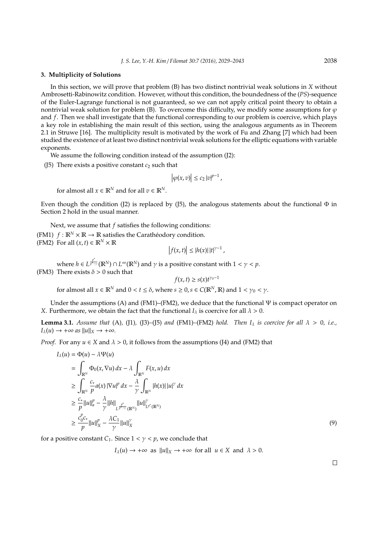#### **3. Multiplicity of Solutions**

In this section, we will prove that problem (B) has two distinct nontrivial weak solutions in *X* without Ambrosetti-Rabinowitz condition. However, without this condition, the boundedness of the (*PS*)-sequence of the Euler-Lagrange functional is not guaranteed, so we can not apply critical point theory to obtain a nontrivial weak solution for problem (B). To overcome this difficulty, we modify some assumptions for  $\varphi$ and *f*. Then we shall investigate that the functional corresponding to our problem is coercive, which plays a key role in establishing the main result of this section, using the analogous arguments as in Theorem 2.1 in Struwe [16]. The multiplicity result is motivated by the work of Fu and Zhang [7] which had been studied the existence of at least two distinct nontrivial weak solutions for the elliptic equations with variable exponents.

We assume the following condition instead of the assumption (J2):

(J5) There exists a positive constant  $c_2$  such that

$$
\left|\varphi(x,v)\right|\leq c_2\left|v\right|^{p-1},\,
$$

for almost all  $x \in \mathbb{R}^N$  and for all  $v \in \mathbb{R}^N$ .

Even though the condition (J2) is replaced by (J5), the analogous statements about the functional  $\Phi$  in Section 2 hold in the usual manner.

Next, we assume that *f* satisfies the following conditions: (FM1)  $f : \mathbb{R}^N \times \mathbb{R} \to \mathbb{R}$  satisfies the Carathéodory condition. (FM2) For all  $(x, t) \in \mathbb{R}^N \times \mathbb{R}$  $\overline{\phantom{a}}$ 

$$
\left|f(x,t)\right| \leq |h(x)|\,|t|^{\gamma-1}\,,
$$

where  $h \in L^{\frac{p^*}{p^{*-}}}$  $\frac{p}{p^{*}-\gamma}$  ( $\mathbb{R}^N$ )  $\cap$  *L*<sup>∞</sup> ( $\mathbb{R}^N$ ) and  $\gamma$  is a positive constant with  $1 < \gamma < p$ . (FM3) There exists  $\delta > 0$  such that

*f*(*x*, *t*) ≥ *s*(*x*)*t*<sup>γ0−1</sup>

for almost all  $x \in \mathbb{R}^N$  and  $0 < t \le \delta$ , where  $s \ge 0$ ,  $s \in C(\mathbb{R}^N, \mathbb{R})$  and  $1 < \gamma_0 < \gamma$ .

Under the assumptions (A) and (FM1)–(FM2), we deduce that the functional  $\Psi$  is compact operator on *X*. Furthermore, we obtain the fact that the functional  $I_{\lambda}$  is coercive for all  $\lambda > 0$ .

**Lemma 3.1.** *Assume that* (A), (J1), (J3)–(J5) *and* (FM1)–(FM2) *hold. Then*  $I_{\lambda}$  *is coercive for all*  $\lambda > 0$ , *i.e.*,  $I_\lambda(u) \to +\infty$  as  $||u||_X \to +\infty$ .

*Proof.* For any  $u \in X$  and  $\lambda > 0$ , it follows from the assumptions (J4) and (FM2) that

$$
I_{\lambda}(u) = \Phi(u) - \lambda \Psi(u)
$$
  
\n
$$
= \int_{\mathbb{R}^{N}} \Phi_{0}(x, \nabla u) dx - \lambda \int_{\mathbb{R}^{N}} F(x, u) dx
$$
  
\n
$$
\geq \int_{\mathbb{R}^{N}} \frac{c_{*}}{p} a(x) |\nabla u|^{p} dx - \frac{\lambda}{\gamma} \int_{\mathbb{R}^{N}} |h(x)| |u|^{ \gamma} dx
$$
  
\n
$$
\geq \frac{c_{*}}{p} ||u||_{a}^{p} - \frac{\lambda}{\gamma} ||h||_{L^{\frac{p^{*}}{p-\gamma}}(\mathbb{R}^{N})} ||u||_{L^{p^{*}}(\mathbb{R}^{N})}^{\gamma}
$$
  
\n
$$
\geq \frac{c_{0}^{p} c_{*}}{p} ||u||_{X}^{p} - \frac{\lambda C_{1}}{\gamma} ||u||_{X}^{\gamma}
$$
\n(9)

for a positive constant *C*<sub>1</sub>. Since  $1 < \gamma < p$ , we conclude that

 $I_\lambda(u) \to +\infty$  as  $||u||_X \to +\infty$  for all  $u \in X$  and  $\lambda > 0$ .

 $\Box$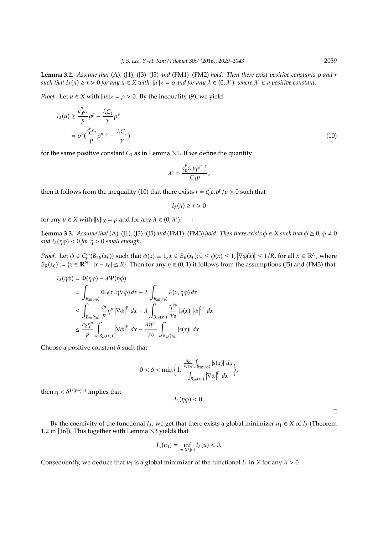**Lemma 3.2.** *Assume that* (A)*,* (J1)*,* (J3)*–*(J5) *and* (FM1)*–*(FM2) *hold. Then there exist positive constants* ρ *and r*  $such that I_\lambda(u) \ge r > 0$  for any  $u \in X$  with  $||u||_X = \rho$  and for any  $\lambda \in (0, \lambda^*)$ , where  $\lambda^*$  is a positive constant.

*Proof.* Let  $u \in X$  with  $||u||_X = \rho > 0$ . By the inequality (9), we yield

$$
I_{\lambda}(u) \ge \frac{c_0^p c_*}{p} \rho^p - \frac{\lambda C_1}{\gamma} \rho^{\gamma}
$$
  
=  $\rho^{\gamma} \left( \frac{c_0^p c_*}{p} \rho^{p-\gamma} - \frac{\lambda C_1}{\gamma} \right)$  (10)

for the same positive constant  $C_1$  as in Lemma 3.1. If we define the quantity

$$
\lambda^* = \frac{c_0^p c_* \gamma \rho^{p-\gamma}}{C_1 p},
$$

then it follows from the inequality (10) that there exists  $r = c_0^p$  $\int_0^p c_* \rho^p / p > 0$  such that

$$
I_\lambda(u)\geq r>0
$$

for any  $u \in X$  with  $||u||_X = \rho$  and for any  $\lambda \in (0, \lambda^*)$ .

**Lemma 3.3.** *Assume that* (A), (J1), (J3)–(J5) *and* (FM1)–(FM3) *hold. Then there exists*  $\phi \in X$  *such that*  $\phi \ge 0$ ,  $\phi \ne 0$ *and*  $I_{\lambda}(\eta \phi) < 0$  *for*  $\eta > 0$  *small enough.* 

*Proof.* Let  $\phi \in C_0^{\infty}$  $\int_{0}^{\infty} (B_{2R}(x_0))$  such that  $\phi(x) \equiv 1, x \in B_R(x_0); 0 \le \phi(x) \le 1, |\nabla \phi(x)| \le 1/R$ , for all  $x \in \mathbb{R}^N$ , where  $B_R(x_0) := \{x \in \mathbb{R}^N : |x - x_0| \le R\}$ . Then for any  $\eta \in (0, 1)$  it follows from the assumptions (J5) and (FM3) that

$$
I_{\lambda}(\eta\phi) = \Phi(\eta\phi) - \lambda\Psi(\eta\phi)
$$
  
\n
$$
= \int_{B_{2R}(x_0)} \Phi_0(x, \eta\nabla\phi) dx - \lambda \int_{B_{2R}(x_0)} F(x, \eta\phi) dx
$$
  
\n
$$
\leq \int_{B_{2R}(x_0)} \frac{c_2}{p} \eta^p |\nabla\phi|^p dx - \lambda \int_{B_{2R}(x_0)} \frac{\eta^{\gamma_0}}{\gamma_0} |s(x)| |\phi|^{\gamma_0} dx
$$
  
\n
$$
\leq \frac{c_2 \eta^p}{p} \int_{B_{2R}(x_0)} |\nabla\phi|^p dx - \frac{\lambda \eta^{\gamma_0}}{\gamma_0} \int_{B_{2R}(x_0)} |s(x)| dx.
$$

Choose a positive constant  $\delta$  such that

$$
0<\delta<\min\bigg\{1,\frac{\frac{\lambda p}{c_2\gamma_0}\int_{B_{2R}(x_0)}|s(x)|\,dx}{\int_{B_{2R}(x_0)}\big|\nabla\phi\big|^p\,dx}\bigg\},
$$

then  $\eta < \delta^{1/(p-\gamma_0)}$  implies that

 $I_\lambda(\eta\phi) < 0.$ 

 $\Box$ 

By the coercivity of the functional  $I_\lambda$ , we get that there exists a global minimizer  $u_1 \in X$  of  $I_\lambda$  (Theorem 1.2 in [16]). This together with Lemma 3.3 yields that

$$
I_{\lambda}(u_1)=\inf_{u\in X\setminus\{0\}}I_{\lambda}(u)<0.
$$

Consequently, we deduce that  $u_1$  is a global minimizer of the functional  $I_\lambda$  in *X* for any  $\lambda > 0$ .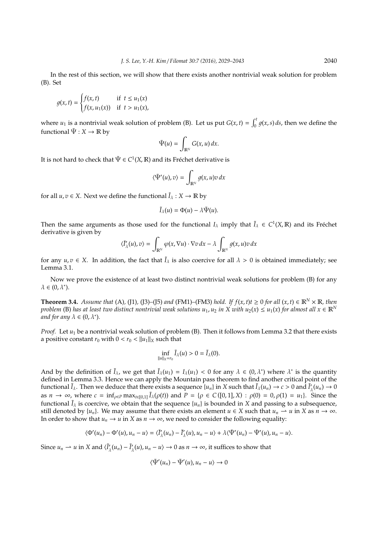In the rest of this section, we will show that there exists another nontrivial weak solution for problem (B). Set

$$
g(x,t) = \begin{cases} f(x,t) & \text{if } t \le u_1(x) \\ f(x,u_1(x)) & \text{if } t > u_1(x), \end{cases}
$$

where  $u_1$  is a nontrivial weak solution of problem (B). Let us put  $G(x, t) = \int_0^t g(x, s) ds$ , then we define the functional  $\tilde{\Psi}: X \to \mathbb{R}$  by

$$
\tilde{\Psi}(u) = \int_{\mathbb{R}^N} G(x, u) \, dx.
$$

It is not hard to check that  $\tilde{\Psi} \in C^1(X,\mathbb{R})$  and its Fréchet derivative is

$$
\langle \tilde{\Psi}'(u), v \rangle = \int_{\mathbb{R}^N} g(x, u) v \, dx
$$

for all  $u, v \in X$ . Next we define the functional  $\tilde{I}_\lambda : X \to \mathbb{R}$  by

$$
\tilde{I}_{\lambda}(u) = \Phi(u) - \lambda \Psi(u).
$$

Then the same arguments as those used for the functional  $I_\lambda$  imply that  $\tilde{I}_\lambda \in C^1(X,\mathbb{R})$  and its Fréchet derivative is given by

$$
\langle \tilde{I}'_{\lambda}(u), v \rangle = \int_{\mathbb{R}^N} \varphi(x, \nabla u) \cdot \nabla v \, dx - \lambda \int_{\mathbb{R}^N} g(x, u) v \, dx
$$

for any  $u, v \in X$ . In addition, the fact that  $\tilde{I}_\lambda$  is also coercive for all  $\lambda > 0$  is obtained immediately; see Lemma 3.1.

Now we prove the existence of at least two distinct nontrivial weak solutions for problem (B) for any  $\lambda \in (0, \lambda^*)$ .

**Theorem 3.4.** Assume that (A), (J1), (J3)–(J5) and (FM1)–(FM3) hold. If  $f(x, t)$ t  $\geq 0$  for all  $(x, t) \in \mathbb{R}^N \times \mathbb{R}$ , then *problem* (B) has at least two distinct nontrivial weak solutions  $u_1, u_2$  in X with  $u_2(x) \le u_1(x)$  for almost all  $x \in \mathbb{R}^N$ *and for any* λ ∈ (0, λ<sup>∗</sup> )*.*

*Proof.* Let  $u_1$  be a nontrivial weak solution of problem (B). Then it follows from Lemma 3.2 that there exists a positive constant  $r_0$  with  $0 < r_0 < ||u_1||_X$  such that

$$
\inf_{\|u\|_X=r_0}\tilde{I}_\lambda(u)>0=\tilde{I}_\lambda(0).
$$

And by the definition of  $\tilde{I}_\lambda$ , we get that  $\tilde{I}_\lambda(u_1) = I_\lambda(u_1) < 0$  for any  $\lambda \in (0, \lambda^*)$  where  $\lambda^*$  is the quantity defined in Lemma 3.3. Hence we can apply the Mountain pass theorem to find another critical point of the functional  $\tilde{I}_\lambda$ . Then we deduce that there exists a sequence  $\{u_n\}$  in X such that  $\tilde{I}_\lambda(u_n) \to c > 0$  and  $\tilde{I}'_\lambda$  $\frac{\partial}{\partial \lambda}(u_n) \to 0$ as  $n \to \infty$ , where  $c = \inf_{\rho \in P} \max_{t \in [0,1]} \tilde{I}_{\lambda}(\rho(t))$  and  $P = \{ \rho \in C([0,1], X) : \rho(0) = 0, \rho(1) = u_1 \}$ . Since the functional  $\tilde{I}_\lambda$  is coercive, we obtain that the sequence  $\{u_n\}$  is bounded in *X* and passing to a subsequence, still denoted by  $\{u_n\}$ . We may assume that there exists an element  $u \in X$  such that  $u_n \to u$  in *X* as  $n \to \infty$ . In order to show that  $u_n \to u$  in *X* as  $n \to \infty$ , we need to consider the following equality:

$$
\langle \Phi'(u_n)-\Phi'(u),u_n-u\rangle=\langle \tilde I_\lambda'(u_n)-\tilde I_\lambda'(u),u_n-u\rangle+\lambda \langle \tilde \Psi'(u_n)-\tilde \Psi'(u),u_n-u\rangle.
$$

Since  $u_n \rightharpoonup u$  in *X* and  $\langle \tilde{I}'_n \rangle$  $\tilde{I}'_{\lambda}(u_n) - \tilde{I}'_{\lambda}$  $\chi_{\lambda}(u), u_n - u \rangle \to 0$  as  $n \to \infty$ , it suffices to show that

$$
\langle \tilde{\Psi}'(u_n)-\tilde{\Psi}'(u),u_n-u\rangle\to 0
$$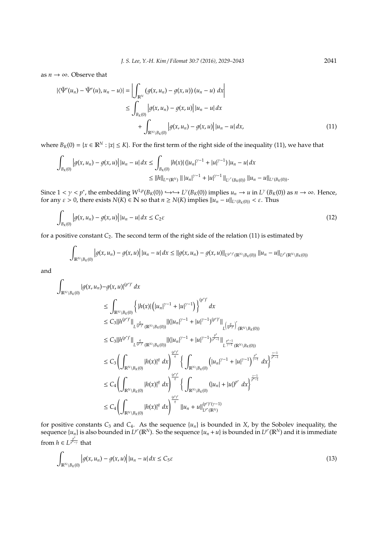as  $n \to \infty$ . Observe that

$$
|\langle \tilde{\Psi}'(u_n) - \tilde{\Psi}'(u), u_n - u \rangle| = \left| \int_{\mathbb{R}^N} (g(x, u_n) - g(x, u))(u_n - u) \, dx \right|
$$
  
\n
$$
\leq \int_{B_K(0)} |g(x, u_n) - g(x, u)| \, |u_n - u| \, dx
$$
  
\n
$$
+ \int_{\mathbb{R}^N \setminus B_K(0)} |g(x, u_n) - g(x, u)| \, |u_n - u| \, dx,
$$
\n(11)

where  $B_K(0) = \{x \in \mathbb{R}^N : |x| \le K\}$ . For the first term of the right side of the inequality (11), we have that

$$
\int_{B_K(0)} \left| g(x, u_n) - g(x, u) \right| |u_n - u| dx \le \int_{B_K(0)} |h(x)| \left( |u_n|^{\gamma - 1} + |u|^{\gamma - 1} \right) |u_n - u| dx
$$
  

$$
\le ||h||_{L^{\infty}(\mathbb{R}^N)} || |u_n|^{\gamma - 1} + |u|^{\gamma - 1} ||_{L^{\gamma'}(B_K(0))} ||u_n - u||_{L^{\gamma}(B_K(0))}.
$$

Since  $1 < \gamma < p^*$ , the embedding  $W^{1,p}(B_K(0)) \hookrightarrow \hookrightarrow L^{\gamma}(B_K(0))$  implies  $u_n \to u$  in  $L^{\gamma}(B_K(0))$  as  $n \to \infty$ . Hence, for any  $\varepsilon > 0$ , there exists  $N(K) \in \mathbb{N}$  so that  $n \ge N(K)$  implies  $||u_n - u||_{L^{\gamma}(B_K(0))} < \varepsilon$ . Thus

$$
\int_{B_K(0)} \left| g(x, u_n) - g(x, u) \right| |u_n - u| dx \le C_2 \varepsilon \tag{12}
$$

for a positive constant *C*2. The second term of the right side of the relation (11) is estimated by

$$
\int_{\mathbb{R}^N \setminus B_K(0)} \left| g(x, u_n) - g(x, u) \right| |u_n - u| dx \leq ||g(x, u_n) - g(x, u)||_{L^{(p^*)'}(\mathbb{R}^N \setminus B_K(0))} ||u_n - u||_{L^{p^*}(\mathbb{R}^N \setminus B_K(0))}
$$

and

$$
\int_{\mathbb{R}^{N}\setminus B_{K}(0)}|g(x,u_{n})-g(x,u)|^{(p^{*})'} dx
$$
\n
$$
\leq \int_{\mathbb{R}^{N}\setminus B_{K}(0)}\left\{|h(x)|\left(|u_{n}|^{\gamma-1}+|u|^{\gamma-1}\right)\right\}^{(p^{*})'} dx
$$
\n
$$
\leq C_{3}\|h^{(p^{*})'}\|_{L^{\frac{q}{(p^{*})'}}(\mathbb{R}^{N}\setminus B_{K}(0))}\|(|u_{n}|^{\gamma-1}+|u|^{\gamma-1})^{(p^{*})'}\|_{L^{\frac{q}{(p^{*})'}}(\mathbb{R}^{N}\setminus B_{K}(0))}
$$
\n
$$
\leq C_{3}\|h^{(p^{*})'}\|_{L^{\frac{q}{(p^{*})'}}(\mathbb{R}^{N}\setminus B_{K}(0))}\|(|u_{n}|^{\gamma-1}+|u|^{\gamma-1})^{\frac{p^{*}}{p^{*}-1}}\|_{L^{\frac{p^{*}-1}{\gamma-1}}(\mathbb{R}^{N}\setminus B_{K}(0))}
$$
\n
$$
\leq C_{3}\left(\int_{\mathbb{R}^{N}\setminus B_{K}(0)}|h(x)|^{q} dx\right)^{\frac{(p^{*})'}{q}}\left\{\int_{\mathbb{R}^{N}\setminus B_{K}(0)}\left(|u_{n}|^{\gamma-1}+|u|^{\gamma-1}\right)^{\frac{p^{*}}{\gamma-1}} dx\right\}^{\frac{\gamma-1}{p^{*}-1}} dx\right\}^{\frac{\gamma-1}{p^{*}-1}}
$$
\n
$$
\leq C_{4}\left(\int_{\mathbb{R}^{N}\setminus B_{K}(0)}|h(x)|^{q} dx\right)^{\frac{(p^{*})'}{q}}\left\{\int_{\mathbb{R}^{N}\setminus B_{K}(0)}\left(|u_{n}|+|u|\right)^{p^{*}} dx\right\}^{\frac{\gamma-1}{p^{*}-1}} dx
$$
\n
$$
\leq C_{4}\left(\int_{\mathbb{R}^{N}\setminus B_{K}(0)}|h(x)|^{q} dx\right)^{\frac{(p^{*})'}{q}}\|u_{n}+u\|_{L^{p^{*}}(\mathbb{R}^{N})}^{(p^{*})}
$$

for positive constants  $C_3$  and  $C_4$ . As the sequence  $\{u_n\}$  is bounded in *X*, by the Sobolev inequality, the sequence  $\{u_n\}$  is also bounded in  $L^{p^*}(\mathbb{R}^N)$ . So the sequence  $\{u_n + u\}$  is bounded in  $L^{p^*}(\mathbb{R}^N)$  and it is immediate from  $h \in L^{\frac{p^*}{p^* - \gamma}}$  that

$$
\int_{\mathbb{R}^N \setminus B_K(0)} \left| g(x, u_n) - g(x, u) \right| |u_n - u| dx \le C_5 \varepsilon \tag{13}
$$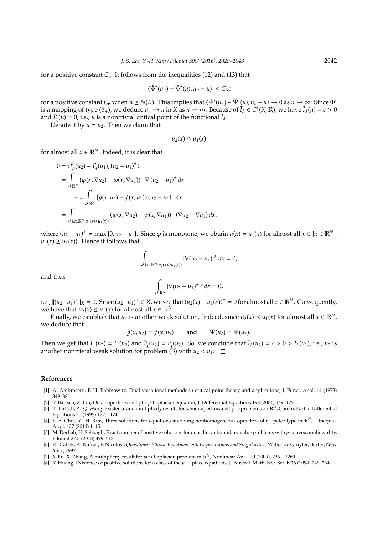for a positive constant *C*5. It follows from the inequalities (12) and (13) that

$$
|\langle \tilde{\Psi}'(u_n) - \tilde{\Psi}'(u), u_n - u \rangle| \leq C_6 \varepsilon
$$

for a positive constant  $C_6$  when  $n \ge N(K)$ . This implies that  $\langle \tilde{\Psi}'(u_n) - \tilde{\Psi}'(u), u_n - u \rangle \to 0$  as  $n \to \infty$ . Since  $\Phi'$ is a mapping of type  $(S_+)$ , we deduce  $u_n \to u$  in  $X$  as  $n \to \infty$ . Because of  $\tilde{I}_\lambda \in C^1(X,\mathbb{R})$ , we have  $\tilde{I}_\lambda(u) = c > 0$ and  $\tilde{I}'_1$  $\tilde{I}_{\lambda}(u) = 0$ , i.e., *u* is a nontrivial critical point of the functional  $\tilde{I}_{\lambda}$ .

Denote it by  $u = u_2$ . Then we claim that

$$
u_2(x)\leq u_1(x)
$$

for almost all  $x \in \mathbb{R}^N$ . Indeed, it is clear that

$$
0 = \langle \tilde{I}_{\lambda}'(u_2) - I_{\lambda}'(u_1), (u_2 - u_1)^+ \rangle
$$
  
\n
$$
= \int_{\mathbb{R}^N} (\varphi(x, \nabla u_2) - \varphi(x, \nabla u_1)) \cdot \nabla (u_2 - u_1)^+ dx
$$
  
\n
$$
- \lambda \int_{\mathbb{R}^N} (g(x, u_2) - f(x, u_1)) (u_2 - u_1)^+ dx
$$
  
\n
$$
= \int_{\{x \in \mathbb{R}^N : u_2(x) \ge u_1(x)\}} (\varphi(x, \nabla u_2) - \varphi(x, \nabla u_1)) \cdot (\nabla u_2 - \nabla u_1) dx,
$$

where  $(u_2 - u_1)^+$  = max {0,  $u_2 - u_1$ }. Since  $\varphi$  is monotone, we obtain  $u(x) = u_1(x)$  for almost all  $x \in \{x \in \mathbb{R}^N :$  $u_2(x) \ge u_1(x)$ . Hence it follows that

$$
\int_{\{x\in\mathbb{R}^N:u_2(x)\geq u_1(x)\}}|\nabla(u_2-u_1)|^p\ dx=0,
$$

and thus

$$
\int_{\mathbb{R}^N} |\nabla (u_2 - u_1)^+|^p \, dx = 0,
$$

i.e.,  $||(u_2-u_1)^+||_X=0$ . Since  $(u_2-u_1)^+ \in X$ , we see that  $(u_2(x) - u_1(x))^+ = 0$  for almost all  $x \in \mathbb{R}^N$ . Consequently, we have that  $u_2(x) \le u_1(x)$  for almost all  $x \in \mathbb{R}^N$ .

Finally, we establish that *u*<sub>2</sub> is another weak solution. Indeed, since  $u_2(x) \le u_1(x)$  for almost all  $x \in \mathbb{R}^N$ , we deduce that

$$
g(x, u_2) = f(x, u_2)
$$
 and  $\tilde{\Psi}(u_2) = \Psi(u_2)$ .

Then we get that  $\tilde{I}_{\lambda}(u_2) = I_{\lambda}(u_2)$  and  $\tilde{I}'_j$  $I'_{\lambda}(u_2) = I'_{\lambda}$  $\tilde{I}_{\lambda}(u_2)$ . So, we conclude that  $\tilde{I}_{\lambda}(u_2) = c > 0 > \tilde{I}_{\lambda}(u_1)$ , i.e.,  $u_2$  is another nontrivial weak solution for problem (B) with  $u_2 < u_1$ .

## **References**

- [1] A. Ambrosetti, P. H. Rabinowitz, Dual variational methods in critical point theory and applications, J. Funct. Anal. 14 (1973) 349–381.
- [2] T. Bartsch, Z. Liu, On a superlinear elliptic *p*-Laplacian equation, J. Differential Equations 198 (2004) 149–175.
- [3] T. Bartsch, Z. -Q.Wang, Existence and multiplicity results for some superlinear elliptic problems on R*N*, Comm. Partial Differential Equations 20 (1995) 1725–1741.
- [4] E. B. Choi, Y. -H. Kim, Three solutions for equations involving nonhomogeneous operators of *p*-Lpalce type in R*N*, J. Inequal. Appl. 427 (2014) 1–15.
- [5] M. Derhab, H. Sebbagh, Exact number of positive solutions for quasilinear boundary value problems with *p*-convex nonlinearlity, Filomat 27:3 (2013) 499–513.
- [6] P. Drábek, A. Kufner, F. Nicolosi, Quasilinear Elliptic Equations with Degenerations and Singularities, Walter de Gruyter, Bertin, New York, 1997.
- [7] Y. Fu, X. Zhang, A multiplicity result for *p*(*x*)-Laplacian problem in R*N*, Nonlinear Anal. 70 (2009), 2261–2269.
- [8] Y. Huang, Existence of positive solutions for a class of the *p*-Laplace equations, J. Austral. Math. Soc. Ser. B 36 (1994) 249–264.